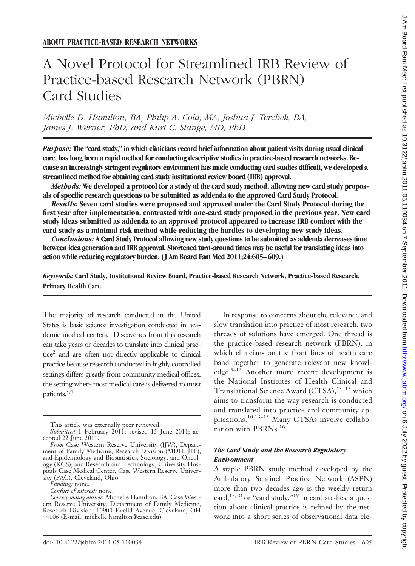# A Novel Protocol for Streamlined IRB Review of Practice-based Research Network (PBRN) Card Studies

*Michelle D. Hamilton, BA, Philip A. Cola, MA, Joshua J. Terchek, BA, James J. Werner, PhD, and Kurt C. Stange, MD, PhD*

*Purpose:* **The "card study," in which clinicians record brief information about patient visits during usual clinical care, has long been a rapid method for conducting descriptive studies in practice-based research networks. Because an increasingly stringent regulatory environment has made conducting card studies difficult, we developed a streamlined method for obtaining card study institutional review board (IRB) approval.**

*Methods:* **We developed a protocol for a study of the card study method, allowing new card study proposals of specific research questions to be submitted as addenda to the approved Card Study Protocol.**

*Results:* **Seven card studies were proposed and approved under the Card Study Protocol during the first year after implementation, contrasted with one-card study proposed in the previous year. New card study ideas submitted as addenda to an approved protocol appeared to increase IRB comfort with the card study as a minimal risk method while reducing the hurdles to developing new study ideas.**

*Conclusions:* **A Card Study Protocol allowing new study questions to be submitted as addenda decreases time between idea generation and IRB approval. Shortened turn-around times may be useful for translating ideas into action while reducing regulatory burden. (J Am Board Fam Med 2011;24:605–609.)**

*Keywords:* **Card Study, Institutional Review Board, Practice-based Research Network, Practice-based Research, Primary Health Care.**

The majority of research conducted in the United States is basic science investigation conducted in academic medical centers.<sup>1</sup> Discoveries from this research can take years or decades to translate into clinical practice<sup>2</sup> and are often not directly applicable to clinical practice because research conducted in highly controlled settings differs greatly from community medical offices, the setting where most medical care is delivered to most patients.<sup>3,4</sup>

In response to concerns about the relevance and slow translation into practice of most research, two threads of solutions have emerged. One thread is the practice-based research network (PBRN), in which clinicians on the front lines of health care band together to generate relevant new knowledge.<sup>5–12</sup> Another more recent development is the National Institutes of Health Clinical and Translational Science Award (CTSA), <sup>13-15</sup> which aims to transform the way research is conducted and translated into practice and community applications.10,13–15 Many CTSAs involve collaboration with PBRNs.<sup>16</sup>

## *The Card Study and the Research Regulatory Environment*

A staple PBRN study method developed by the Ambulatory Sentinel Practice Network (ASPN) more than two decades ago is the weekly return card,<sup>17,18</sup> or "card study."<sup>19</sup> In card studies, a question about clinical practice is refined by the network into a short series of observational data ele-

This article was externally peer reviewed.

*Submitted* 1 February 2011; revised 15 June 2011; accepted 22 June 2011.

*From* Case Western Reserve University (JJW), Department of Family Medicine, Research Division (MDH, JJT), and Epidemiology and Biostatistics, Sociology, and Oncology (KCS); and Research and Technology, University Hospitals Case Medical Center, Case Western Reserve University (PAC), Cleveland, Ohio.

*Funding:* none.

*Conflict of interest:* none.

*Corresponding author:* Michelle Hamilton, BA, Case Western Reserve University, Department of Family Medicine, Research Division, 10900 Euclid Avenue, Cleveland, OH 44106 (E-mail: michelle.hamilton@case.edu).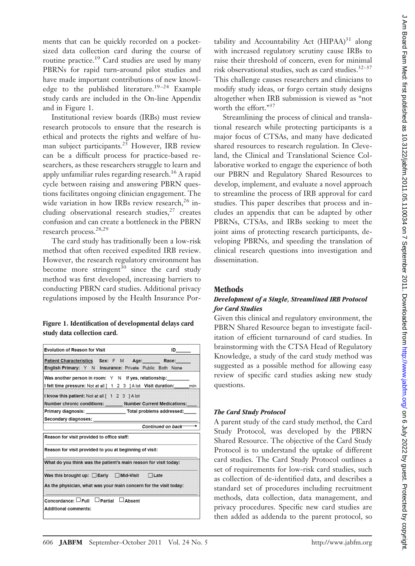ments that can be quickly recorded on a pocketsized data collection card during the course of routine practice.<sup>19</sup> Card studies are used by many PBRNs for rapid turn-around pilot studies and have made important contributions of new knowledge to the published literature.<sup>19-24</sup> Example study cards are included in the On-line Appendix and in Figure 1.

Institutional review boards (IRBs) must review research protocols to ensure that the research is ethical and protects the rights and welfare of human subject participants.<sup>25</sup> However, IRB review can be a difficult process for practice-based researchers, as these researchers struggle to learn and apply unfamiliar rules regarding research.<sup>16</sup> A rapid cycle between raising and answering PBRN questions facilitates ongoing clinician engagement. The wide variation in how IRBs review research,<sup>26</sup> including observational research studies, $27$  creates confusion and can create a bottleneck in the PBRN research process.28,29

The card study has traditionally been a low-risk method that often received expedited IRB review. However, the research regulatory environment has become more stringent<sup>30</sup> since the card study method was first developed, increasing barriers to conducting PBRN card studies. Additional privacy regulations imposed by the Health Insurance Por-

#### **Figure 1. Identification of developmental delays card study data collection card.**

| <b>Evolution of Reason for Visit</b>                                                                                                | ID                 |
|-------------------------------------------------------------------------------------------------------------------------------------|--------------------|
| Patient Characteristics Sex: F M Age: Race:<br>English Primary: Y N Insurance: Private Public Both None                             |                    |
| Was another person in room: $Y \ N$ If yes, relationship:<br>I felt time pressure: Not at all [ 1 2 3 ] A lot Visit duration: min   |                    |
| <b>I know this patient:</b> Not at all [ 1 2 3 ] A lot<br>Number chronic conditions: Number Current Medications:                    |                    |
| Primary diagnosis: Total problems addressed:<br>Secondary diagnoses: _____                                                          |                    |
|                                                                                                                                     | Continued on back- |
| Reason for visit provided to office staff:                                                                                          |                    |
| Reason for visit provided to you at beginning of visit:                                                                             |                    |
| What do you think was the patient's main reason for visit today:                                                                    |                    |
| Was this brought up: $\Box$ Early $\Box$ Mid-Visit $\Box$ Late<br>As the physician, what was your main concern for the visit today: |                    |
| Concordance: $\square$ Full $\square$ Partial $\square$ Absent<br><b>Additional comments:</b>                                       |                    |

tability and Accountability Act  $(HIPAA)^{31}$  along with increased regulatory scrutiny cause IRBs to raise their threshold of concern, even for minimal risk observational studies, such as card studies.<sup>32-37</sup> This challenge causes researchers and clinicians to modify study ideas, or forgo certain study designs altogether when IRB submission is viewed as "not worth the effort."<sup>37</sup>

Streamlining the process of clinical and translational research while protecting participants is a major focus of CTSAs, and many have dedicated shared resources to research regulation. In Cleveland, the Clinical and Translational Science Collaborative worked to engage the experience of both our PBRN and Regulatory Shared Resources to develop, implement, and evaluate a novel approach to streamline the process of IRB approval for card studies. This paper describes that process and includes an appendix that can be adapted by other PBRNs, CTSAs, and IRBs seeking to meet the joint aims of protecting research participants, developing PBRNs, and speeding the translation of clinical research questions into investigation and dissemination.

# **Methods**

# *Development of a Single, Streamlined IRB Protocol for Card Studies*

Given this clinical and regulatory environment, the PBRN Shared Resource began to investigate facilitation of efficient turnaround of card studies. In brainstorming with the CTSA Head of Regulatory Knowledge, a study of the card study method was suggested as a possible method for allowing easy review of specific card studies asking new study questions.

## *The Card Study Protocol*

A parent study of the card study method, the Card Study Protocol, was developed by the PBRN Shared Resource. The objective of the Card Study Protocol is to understand the uptake of different card studies. The Card Study Protocol outlines a set of requirements for low-risk card studies, such as collection of de-identified data, and describes a standard set of procedures including recruitment methods, data collection, data management, and privacy procedures. Specific new card studies are then added as addenda to the parent protocol, so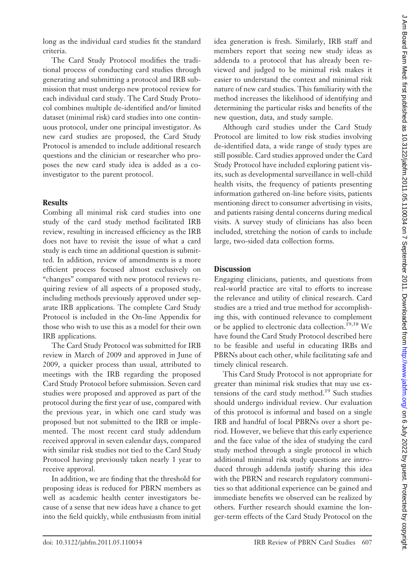long as the individual card studies fit the standard criteria.

The Card Study Protocol modifies the traditional process of conducting card studies through generating and submitting a protocol and IRB submission that must undergo new protocol review for each individual card study. The Card Study Protocol combines multiple de-identified and/or limited dataset (minimal risk) card studies into one continuous protocol, under one principal investigator. As new card studies are proposed, the Card Study Protocol is amended to include additional research questions and the clinician or researcher who proposes the new card study idea is added as a coinvestigator to the parent protocol.

### **Results**

Combing all minimal risk card studies into one study of the card study method facilitated IRB review, resulting in increased efficiency as the IRB does not have to revisit the issue of what a card study is each time an additional question is submitted. In addition, review of amendments is a more efficient process focused almost exclusively on "changes" compared with new protocol reviews requiring review of all aspects of a proposed study, including methods previously approved under separate IRB applications. The complete Card Study Protocol is included in the On-line Appendix for those who wish to use this as a model for their own IRB applications.

The Card Study Protocol was submitted for IRB review in March of 2009 and approved in June of 2009, a quicker process than usual, attributed to meetings with the IRB regarding the proposed Card Study Protocol before submission. Seven card studies were proposed and approved as part of the protocol during the first year of use, compared with the previous year, in which one card study was proposed but not submitted to the IRB or implemented. The most recent card study addendum received approval in seven calendar days, compared with similar risk studies not tied to the Card Study Protocol having previously taken nearly 1 year to receive approval.

In addition, we are finding that the threshold for proposing ideas is reduced for PBRN members as well as academic health center investigators because of a sense that new ideas have a chance to get into the field quickly, while enthusiasm from initial

idea generation is fresh. Similarly, IRB staff and members report that seeing new study ideas as addenda to a protocol that has already been reviewed and judged to be minimal risk makes it easier to understand the context and minimal risk nature of new card studies. This familiarity with the method increases the likelihood of identifying and determining the particular risks and benefits of the new question, data, and study sample.

Although card studies under the Card Study Protocol are limited to low risk studies involving de-identified data, a wide range of study types are still possible. Card studies approved under the Card Study Protocol have included exploring patient visits, such as developmental surveillance in well-child health visits, the frequency of patients presenting information gathered on-line before visits, patients mentioning direct to consumer advertising in visits, and patients raising dental concerns during medical visits. A survey study of clinicians has also been included, stretching the notion of cards to include large, two-sided data collection forms.

#### **Discussion**

Engaging clinicians, patients, and questions from real-world practice are vital to efforts to increase the relevance and utility of clinical research. Card studies are a tried and true method for accomplishing this, with continued relevance to complement or be applied to electronic data collection.<sup>19,38</sup> We have found the Card Study Protocol described here to be feasible and useful in educating IRBs and PBRNs about each other, while facilitating safe and timely clinical research.

This Card Study Protocol is not appropriate for greater than minimal risk studies that may use extensions of the card study method.<sup>19</sup> Such studies should undergo individual review. Our evaluation of this protocol is informal and based on a single IRB and handful of local PBRNs over a short period. However, we believe that this early experience and the face value of the idea of studying the card study method through a single protocol in which additional minimal risk study questions are introduced through addenda justify sharing this idea with the PBRN and research regulatory communities so that additional experience can be gained and immediate benefits we observed can be realized by others. Further research should examine the longer-term effects of the Card Study Protocol on the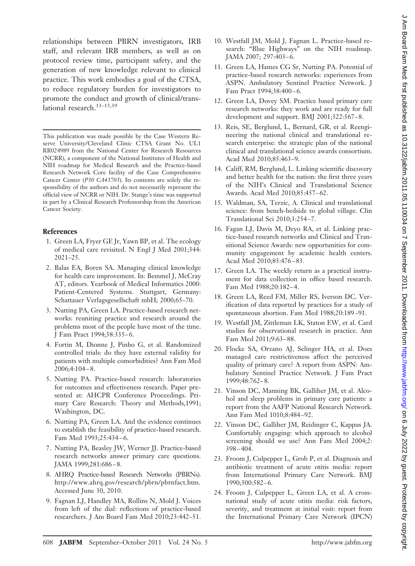relationships between PBRN investigators, IRB staff, and relevant IRB members, as well as on protocol review time, participant safety, and the generation of new knowledge relevant to clinical practice. This work embodies a goal of the CTSA, to reduce regulatory burden for investigators to promote the conduct and growth of clinical/translational research.<sup>13-15,39</sup>

This publication was made possible by the Case Western Reserve University/Cleveland Clinic CTSA Grant No. UL1 RR024989 from the National Center for Research Resources (NCRR), a component of the National Institutes of Health and NIH roadmap for Medical Research and the Practice-based Research Network Core facility of the Case Comprehensive Cancer Center (*P30 CA43703*). Its contents are solely the responsibility of the authors and do not necessarily represent the official view of NCRR or NIH. Dr. Stange's time was supported in part by a Clinical Research Professorship from the American Cancer Society.

## **References**

- 1. Green LA, Fryer GE Jr, Yawn BP, et al. The ecology of medical care revisited. N Engl J Med 2001;344: 2021–25.
- 2. Balas EA, Boren SA. Managing clinical knowledge for health care improvement. In: Bemmel J, McCray AT, editors. Yearbook of Medical Informatics 2000: Patient-Centered Systems. Stuttgart, Germany: Schattauer Verlagsgesellschaft mbH; 2000;65–70.
- 3. Nutting PA, Green LA. Practice-based research networks: reuniting practice and research around the problems most of the people have most of the time. J Fam Pract 1994;38:335– 6.
- 4. Fortin M, Dionne J, Pinho G, et al. Randomized controlled trials: do they have external validity for patients with multiple comorbidities? Ann Fam Med  $2006;4:104-8.$
- 5. Nutting PA. Practice-based research: laboratories for outcomes and effectiveness research. Paper presented at: AHCPR Conference Proceedings. Primary Care Research: Theory and Methods,1991; Washington, DC.
- 6. Nutting PA, Green LA. And the evidence continues to establish the feasibility of practice-based research. Fam Med 1993;25:434-6.
- 7. Nutting PA, Beasley JW, Werner JJ. Practice-based research networks answer primary care questions. JAMA 1999;281:686-8.
- 8. AHRQ Practice-based Research Networks (PBRNs). http://www.ahrq.gov/research/pbrn/pbrnfact.htm. Accessed June 30, 2010.
- 9. Fagnan LJ, Handley MA, Rollins N, Mold J. Voices from left of the dial: reflections of practice-based researchers. J Am Board Fam Med 2010;23:442–51.
- 10. Westfall JM, Mold J, Fagnan L. Practice-based research: "Blue Highways" on the NIH roadmap. JAMA 2007; 297:403-6.
- 11. Green LA, Hames CG Sr, Nutting PA. Potential of practice-based research networks: experiences from ASPN. Ambulatory Sentinel Practice Network. J Fam Pract 1994;38:400-6.
- 12. Green LA, Dovey SM. Practice based primary care research networks: they work and are ready for full development and support. BMJ 2001;322:567-8.
- 13. Reis, SE, Berglund, L, Bernard, GR, et al. Reengineering the national clinical and translational research enterprise: the strategic plan of the national clinical and translational science awards consortium. Acad Med 2010;85:463–9.
- 14. Califf, RM, Berglund, L. Linking scientific discovery and better health for the nation: the first three years of the NIH's Clinical and Translational Science Awards. Acad Med 2010;85:457-62.
- 15. Waldman, SA, Terzic, A. Clinical and translational science: from bench-bedside to global village. Clin Translational Sci 2010;3:254 –7.
- 16. Fagan LJ, Davis M, Deyo RA, et al. Linking practice-based research networks and Clinical and Transitional Science Awards: new opportunities for community engagement by academic health centers. Acad Med 2010;85:476 – 83.
- 17. Green LA. The weekly return as a practical instrument for data collection in office based research. Fam Med 1988;20:182-4.
- 18. Green LA, Reed FM, Miller RS, Iverson DC. Verification of data reported by practices for a study of spontaneous abortion. Fam Med 1988;20:189 –91.
- 19. Westfall JM, Zittleman LK, Staton EW, et al. Card studies for observational research in practice. Ann Fam Med 2011;9:63– 88.
- 20. Flocke SA, Orzano AJ, Selinger HA, et al. Does managed care restrictiveness affect the perceived quality of primary care? A report from ASPN: Ambulatory Sentinel Practice Network. J Fam Pract 1999;48:762– 8.
- 21. Vinson DC, Manning BK, Galliher JM, et al. Alcohol and sleep problems in primary care patients: a report from the AAFP National Research Network. Ann Fam Med 1010;8:484 –92.
- 22. Vinson DC, Galliher JM, Reidinger C, Kappus JA. Comfortably engaging: which approach to alcohol screening should we use? Ann Fam Med 2004;2: 398 – 404.
- 23. Froom J, Culpepper L, Grob P, et al. Diagnosis and antibiotic treatment of acute otitis media: report from International Primary Care Network. BMJ 1990;300:582– 6.
- 24. Froom J, Culpepper L, Green LA, et al. A crossnational study of acute otitis media: risk factors, severity, and treatment at initial visit: report from the International Primary Care Network (IPCN)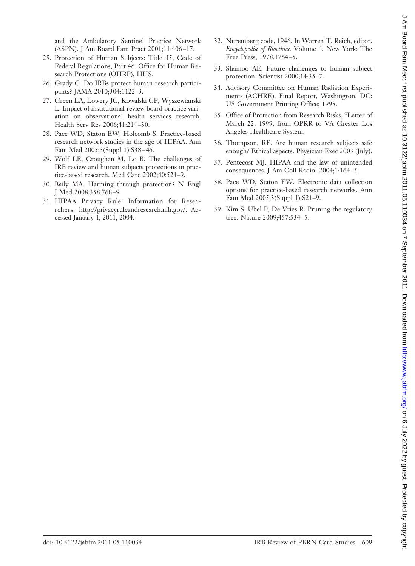and the Ambulatory Sentinel Practice Network (ASPN). J Am Board Fam Pract 2001;14:406 –17.

- 25. Protection of Human Subjects: Title 45, Code of Federal Regulations, Part 46. Office for Human Research Protections (OHRP), HHS.
- 26. Grady C. Do IRBs protect human research participants? JAMA 2010;304:1122–3.
- 27. Green LA, Lowery JC, Kowalski CP, Wyszewianski L. Impact of institutional review board practice variation on observational health services research. Health Serv Res 2006;41:214 –30.
- 28. Pace WD, Staton EW, Holcomb S. Practice-based research network studies in the age of HIPAA. Ann Fam Med 2005;3(Suppl 1):S38 – 45.
- 29. Wolf LE, Croughan M, Lo B. The challenges of IRB review and human subjects protections in practice-based research. Med Care 2002;40:521–9.
- 30. Baily MA. Harming through protection? N Engl J Med 2008;358:768 –9.
- 31. HIPAA Privacy Rule: Information for Researchers. http://privacyruleandresearch.nih.gov/. Accessed January 1, 2011, 2004.
- 32. Nuremberg code, 1946. In Warren T. Reich, editor. *Encyclopedia of Bioethics*. Volume 4. New York: The Free Press; 1978:1764-5.
- 33. Shamoo AE. Future challenges to human subject protection. Scientist 2000;14:35–7.
- 34. Advisory Committee on Human Radiation Experiments (ACHRE). Final Report, Washington, DC: US Government Printing Office; 1995.
- 35. Office of Protection from Research Risks, "Letter of March 22, 1999, from OPRR to VA Greater Los Angeles Healthcare System.
- 36. Thompson, RE. Are human research subjects safe enough? Ethical aspects. Physician Exec 2003 (July).
- 37. Pentecost MJ. HIPAA and the law of unintended consequences. J Am Coll Radiol 2004;1:164 –5.
- 38. Pace WD, Staton EW. Electronic data collection options for practice-based research networks. Ann Fam Med 2005;3(Suppl 1):S21–9.
- 39. Kim S, Ubel P, De Vries R. Pruning the regulatory tree. Nature 2009;457:534 –5.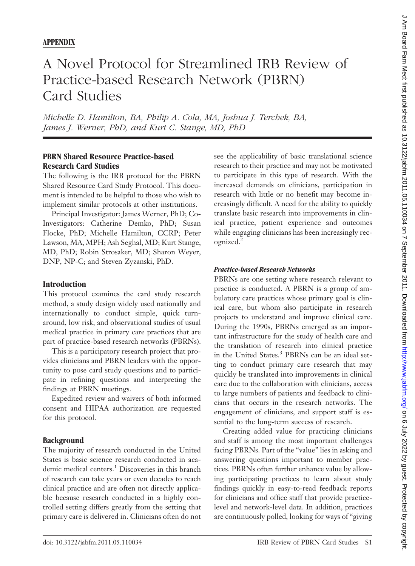# A Novel Protocol for Streamlined IRB Review of Practice-based Research Network (PBRN) Card Studies

*Michelle D. Hamilton, BA, Philip A. Cola, MA, Joshua J. Terchek, BA, James J. Werner, PhD, and Kurt C. Stange, MD, PhD*

# **PBRN Shared Resource Practice-based Research Card Studies**

The following is the IRB protocol for the PBRN Shared Resource Card Study Protocol. This document is intended to be helpful to those who wish to implement similar protocols at other institutions.

Principal Investigator: James Werner, PhD; Co-Investigators: Catherine Demko, PhD; Susan Flocke, PhD; Michelle Hamilton, CCRP; Peter Lawson, MA, MPH; Ash Seghal, MD; Kurt Stange, MD, PhD; Robin Strosaker, MD; Sharon Weyer, DNP, NP-C; and Steven Zyzanski, PhD.

#### **Introduction**

This protocol examines the card study research method, a study design widely used nationally and internationally to conduct simple, quick turnaround, low risk, and observational studies of usual medical practice in primary care practices that are part of practice-based research networks (PBRNs).

This is a participatory research project that provides clinicians and PBRN leaders with the opportunity to pose card study questions and to participate in refining questions and interpreting the findings at PBRN meetings.

Expedited review and waivers of both informed consent and HIPAA authorization are requested for this protocol.

#### **Background**

The majority of research conducted in the United States is basic science research conducted in academic medical centers.<sup>1</sup> Discoveries in this branch of research can take years or even decades to reach clinical practice and are often not directly applicable because research conducted in a highly controlled setting differs greatly from the setting that primary care is delivered in. Clinicians often do not

see the applicability of basic translational science research to their practice and may not be motivated to participate in this type of research. With the increased demands on clinicians, participation in research with little or no benefit may become increasingly difficult. A need for the ability to quickly translate basic research into improvements in clinical practice, patient experience and outcomes while engaging clinicians has been increasingly recognized. $^{2}$ 

#### *Practice-based Research Networks*

PBRNs are one setting where research relevant to practice is conducted. A PBRN is a group of ambulatory care practices whose primary goal is clinical care, but whom also participate in research projects to understand and improve clinical care. During the 1990s, PBRNs emerged as an important infrastructure for the study of health care and the translation of research into clinical practice in the United States.<sup>3</sup> PBRNs can be an ideal setting to conduct primary care research that may quickly be translated into improvements in clinical care due to the collaboration with clinicians, access to large numbers of patients and feedback to clinicians that occurs in the research networks. The engagement of clinicians, and support staff is essential to the long-term success of research.

Creating added value for practicing clinicians and staff is among the most important challenges facing PBRNs. Part of the "value" lies in asking and answering questions important to member practices. PBRNs often further enhance value by allowing participating practices to learn about study findings quickly in easy-to-read feedback reports for clinicians and office staff that provide practicelevel and network-level data. In addition, practices are continuously polled, looking for ways of "giving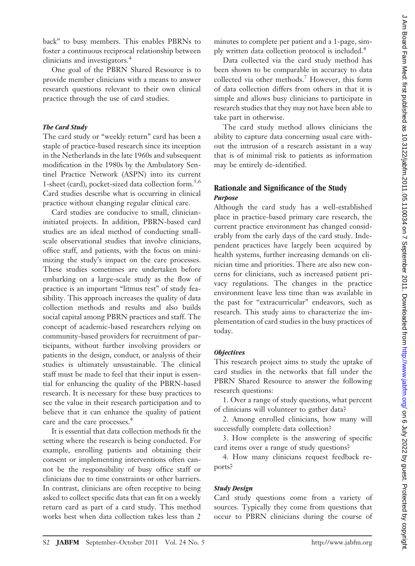back" to busy members. This enables PBRNs to foster a continuous reciprocal relationship between clinicians and investigators.<sup>4</sup>

One goal of the PBRN Shared Resource is to provide member clinicians with a means to answer research questions relevant to their own clinical practice through the use of card studies.

#### *The Card Study*

The card study or "weekly return" card has been a staple of practice-based research since its inception in the Netherlands in the late 1960s and subsequent modification in the 1980s by the Ambulatory Sentinel Practice Network (ASPN) into its current 1-sheet (card), pocket-sized data collection form.<sup>5,6</sup> Card studies describe what is occurring in clinical practice without changing regular clinical care.

Card studies are conducive to small, clinicianinitiated projects. In addition, PBRN-based card studies are an ideal method of conducting smallscale observational studies that involve clinicians, office staff, and patients, with the focus on minimizing the study's impact on the care processes. These studies sometimes are undertaken before embarking on a large-scale study as the flow of practice is an important "litmus test" of study feasibility. This approach increases the quality of data collection methods and results and also builds social capital among PBRN practices and staff. The concept of academic-based researchers relying on community-based providers for recruitment of participants, without further involving providers or patients in the design, conduct, or analysis of their studies is ultimately unsustainable. The clinical staff must be made to feel that their input is essential for enhancing the quality of the PBRN-based research. It is necessary for these busy practices to see the value in their research participation and to believe that it can enhance the quality of patient care and the care processes.<sup>4</sup>

It is essential that data collection methods fit the setting where the research is being conducted. For example, enrolling patients and obtaining their consent or implementing interventions often cannot be the responsibility of busy office staff or clinicians due to time constraints or other barriers. In contrast, clinicians are often receptive to being asked to collect specific data that can fit on a weekly return card as part of a card study. This method works best when data collection takes less than 2

minutes to complete per patient and a 1-page, simply written data collection protocol is included.<sup>4</sup>

Data collected via the card study method has been shown to be comparable in accuracy to data collected via other methods.<sup>7</sup> However, this form of data collection differs from others in that it is simple and allows busy clinicians to participate in research studies that they may not have been able to take part in otherwise.

The card study method allows clinicians the ability to capture data concerning usual care without the intrusion of a research assistant in a way that is of minimal risk to patients as information may be entirely de-identified.

# **Rationale and Significance of the Study** *Purpose*

Although the card study has a well-established place in practice-based primary care research, the current practice environment has changed considerably from the early days of the card study. Independent practices have largely been acquired by health systems, further increasing demands on clinician time and priorities. There are also new concerns for clinicians, such as increased patient privacy regulations. The changes in the practice environment leave less time than was available in the past for "extracurricular" endeavors, such as research. This study aims to characterize the implementation of card studies in the busy practices of today.

## *Objectives*

This research project aims to study the uptake of card studies in the networks that fall under the PBRN Shared Resource to answer the following research questions:

1. Over a range of study questions, what percent of clinicians will volunteer to gather data?

2. Among enrolled clinicians, how many will successfully complete data collection?

3. How complete is the answering of specific card items over a range of study questions?

4. How many clinicians request feedback reports?

#### *Study Design*

Card study questions come from a variety of sources. Typically they come from questions that occur to PBRN clinicians during the course of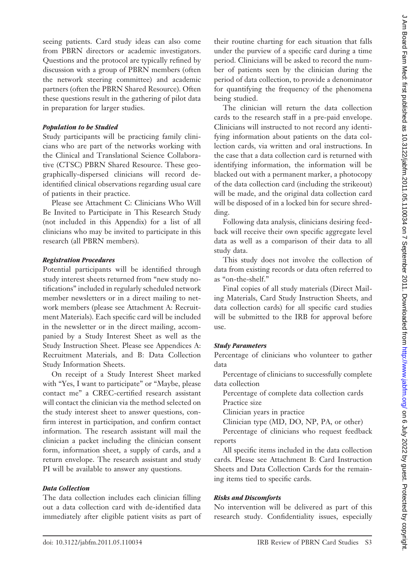seeing patients. Card study ideas can also come from PBRN directors or academic investigators. Questions and the protocol are typically refined by discussion with a group of PBRN members (often the network steering committee) and academic partners (often the PBRN Shared Resource). Often these questions result in the gathering of pilot data in preparation for larger studies.

## *Population to be Studied*

Study participants will be practicing family clinicians who are part of the networks working with the Clinical and Translational Science Collaborative (CTSC) PBRN Shared Resource. These geographically-dispersed clinicians will record deidentified clinical observations regarding usual care of patients in their practice.

Please see Attachment C: Clinicians Who Will Be Invited to Participate in This Research Study (not included in this Appendix) for a list of all clinicians who may be invited to participate in this research (all PBRN members).

## *Registration Procedures*

Potential participants will be identified through study interest sheets returned from "new study notifications" included in regularly scheduled network member newsletters or in a direct mailing to network members (please see Attachment A: Recruitment Materials). Each specific card will be included in the newsletter or in the direct mailing, accompanied by a Study Interest Sheet as well as the Study Instruction Sheet. Please see Appendices A: Recruitment Materials, and B: Data Collection Study Information Sheets.

On receipt of a Study Interest Sheet marked with "Yes, I want to participate" or "Maybe, please contact me" a CREC-certified research assistant will contact the clinician via the method selected on the study interest sheet to answer questions, confirm interest in participation, and confirm contact information. The research assistant will mail the clinician a packet including the clinician consent form, information sheet, a supply of cards, and a return envelope. The research assistant and study PI will be available to answer any questions.

## *Data Collection*

The data collection includes each clinician filling out a data collection card with de-identified data immediately after eligible patient visits as part of their routine charting for each situation that falls under the purview of a specific card during a time period. Clinicians will be asked to record the number of patients seen by the clinician during the period of data collection, to provide a denominator for quantifying the frequency of the phenomena being studied.

The clinician will return the data collection cards to the research staff in a pre-paid envelope. Clinicians will instructed to not record any identifying information about patients on the data collection cards, via written and oral instructions. In the case that a data collection card is returned with identifying information, the information will be blacked out with a permanent marker, a photocopy of the data collection card (including the strikeout) will be made, and the original data collection card will be disposed of in a locked bin for secure shredding.

Following data analysis, clinicians desiring feedback will receive their own specific aggregate level data as well as a comparison of their data to all study data.

This study does not involve the collection of data from existing records or data often referred to as "on-the-shelf."

Final copies of all study materials (Direct Mailing Materials, Card Study Instruction Sheets, and data collection cards) for all specific card studies will be submitted to the IRB for approval before use.

## *Study Parameters*

Percentage of clinicians who volunteer to gather data

Percentage of clinicians to successfully complete data collection

Percentage of complete data collection cards Practice size

Clinician years in practice

Clinician type (MD, DO, NP, PA, or other)

Percentage of clinicians who request feedback reports

All specific items included in the data collection cards. Please see Attachment B: Card Instruction Sheets and Data Collection Cards for the remaining items tied to specific cards.

## *Risks and Discomforts*

No intervention will be delivered as part of this research study. Confidentiality issues, especially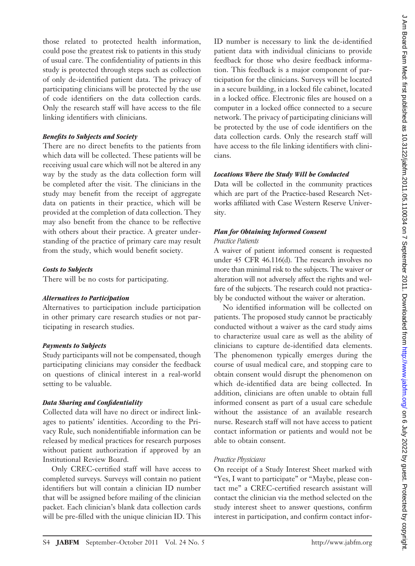those related to protected health information, could pose the greatest risk to patients in this study of usual care. The confidentiality of patients in this study is protected through steps such as collection of only de-identified patient data. The privacy of participating clinicians will be protected by the use of code identifiers on the data collection cards. Only the research staff will have access to the file linking identifiers with clinicians.

#### *Benefits to Subjects and Society*

There are no direct benefits to the patients from which data will be collected. These patients will be receiving usual care which will not be altered in any way by the study as the data collection form will be completed after the visit. The clinicians in the study may benefit from the receipt of aggregate data on patients in their practice, which will be provided at the completion of data collection. They may also benefit from the chance to be reflective with others about their practice. A greater understanding of the practice of primary care may result from the study, which would benefit society.

#### *Costs to Subjects*

There will be no costs for participating.

#### *Alternatives to Participation*

Alternatives to participation include participation in other primary care research studies or not participating in research studies.

#### *Payments to Subjects*

Study participants will not be compensated, though participating clinicians may consider the feedback on questions of clinical interest in a real-world setting to be valuable.

#### *Data Sharing and Confidentiality*

Collected data will have no direct or indirect linkages to patients' identities. According to the Privacy Rule, such nonidentifiable information can be released by medical practices for research purposes without patient authorization if approved by an Institutional Review Board.

Only CREC-certified staff will have access to completed surveys. Surveys will contain no patient identifiers but will contain a clinician ID number that will be assigned before mailing of the clinician packet. Each clinician's blank data collection cards will be pre-filled with the unique clinician ID. This

ID number is necessary to link the de-identified patient data with individual clinicians to provide feedback for those who desire feedback information. This feedback is a major component of participation for the clinicians. Surveys will be located in a secure building, in a locked file cabinet, located in a locked office. Electronic files are housed on a computer in a locked office connected to a secure network. The privacy of participating clinicians will be protected by the use of code identifiers on the data collection cards. Only the research staff will have access to the file linking identifiers with clinicians.

#### *Locations Where the Study Will be Conducted*

Data will be collected in the community practices which are part of the Practice-based Research Networks affiliated with Case Western Reserve University.

## *Plan for Obtaining Informed Consent*

#### *Practice Patients*

A waiver of patient informed consent is requested under 45 CFR 46.116(d). The research involves no more than minimal risk to the subjects. The waiver or alteration will not adversely affect the rights and welfare of the subjects. The research could not practicably be conducted without the waiver or alteration.

No identified information will be collected on patients. The proposed study cannot be practicably conducted without a waiver as the card study aims to characterize usual care as well as the ability of clinicians to capture de-identified data elements. The phenomenon typically emerges during the course of usual medical care, and stopping care to obtain consent would disrupt the phenomenon on which de-identified data are being collected. In addition, clinicians are often unable to obtain full informed consent as part of a usual care schedule without the assistance of an available research nurse. Research staff will not have access to patient contact information or patients and would not be able to obtain consent.

#### *Practice Physicians*

On receipt of a Study Interest Sheet marked with "Yes, I want to participate" or "Maybe, please contact me" a CREC-certified research assistant will contact the clinician via the method selected on the study interest sheet to answer questions, confirm interest in participation, and confirm contact infor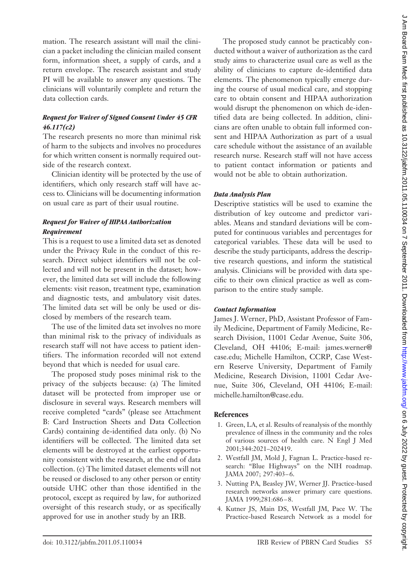mation. The research assistant will mail the clinician a packet including the clinician mailed consent form, information sheet, a supply of cards, and a return envelope. The research assistant and study PI will be available to answer any questions. The clinicians will voluntarily complete and return the data collection cards.

# *Request for Waiver of Signed Consent Under 45 CFR 46.117(c2)*

The research presents no more than minimal risk of harm to the subjects and involves no procedures for which written consent is normally required outside of the research context.

Clinician identity will be protected by the use of identifiers, which only research staff will have access to. Clinicians will be documenting information on usual care as part of their usual routine.

# *Request for Waiver of HIPAA Authorization Requirement*

This is a request to use a limited data set as denoted under the Privacy Rule in the conduct of this research. Direct subject identifiers will not be collected and will not be present in the dataset; however, the limited data set will include the following elements: visit reason, treatment type, examination and diagnostic tests, and ambulatory visit dates. The limited data set will be only be used or disclosed by members of the research team.

The use of the limited data set involves no more than minimal risk to the privacy of individuals as research staff will not have access to patient identifiers. The information recorded will not extend beyond that which is needed for usual care.

The proposed study poses minimal risk to the privacy of the subjects because: (a) The limited dataset will be protected from improper use or disclosure in several ways. Research members will receive completed "cards" (please see Attachment B: Card Instruction Sheets and Data Collection Cards) containing de-identified data only. (b) No identifiers will be collected. The limited data set elements will be destroyed at the earliest opportunity consistent with the research, at the end of data collection. (c) The limited dataset elements will not be reused or disclosed to any other person or entity outside UHC other than those identified in the protocol, except as required by law, for authorized oversight of this research study, or as specifically approved for use in another study by an IRB.

The proposed study cannot be practicably conducted without a waiver of authorization as the card study aims to characterize usual care as well as the ability of clinicians to capture de-identified data elements. The phenomenon typically emerge during the course of usual medical care, and stopping care to obtain consent and HIPAA authorization would disrupt the phenomenon on which de-identified data are being collected. In addition, clinicians are often unable to obtain full informed consent and HIPAA Authorization as part of a usual care schedule without the assistance of an available research nurse. Research staff will not have access to patient contact information or patients and would not be able to obtain authorization.

# *Data Analysis Plan*

Descriptive statistics will be used to examine the distribution of key outcome and predictor variables. Means and standard deviations will be computed for continuous variables and percentages for categorical variables. These data will be used to describe the study participants, address the descriptive research questions, and inform the statistical analysis. Clinicians will be provided with data specific to their own clinical practice as well as comparison to the entire study sample.

## *Contact Information*

James J. Werner, PhD, Assistant Professor of Family Medicine, Department of Family Medicine, Research Division, 11001 Cedar Avenue, Suite 306, Cleveland, OH 44106; E-mail: james.werner@ case.edu; Michelle Hamilton, CCRP, Case Western Reserve University, Department of Family Medicine, Research Division, 11001 Cedar Avenue, Suite 306, Cleveland, OH 44106; E-mail: michelle.hamilton@case.edu.

# **References**

- 1. Green, LA, et al. Results of reanalysis of the monthly prevalence of illness in the community and the roles of various sources of health care. N Engl J Med 2001;344:2021–202419.
- 2. Westfall JM, Mold J, Fagnan L. Practice-based research: "Blue Highways" on the NIH roadmap. JAMA 2007; 297:403-6.
- 3. Nutting PA, Beasley JW, Werner JJ. Practice-based research networks answer primary care questions. JAMA 1999;281:686-8.
- 4. Kutner JS, Main DS, Westfall JM, Pace W. The Practice-based Research Network as a model for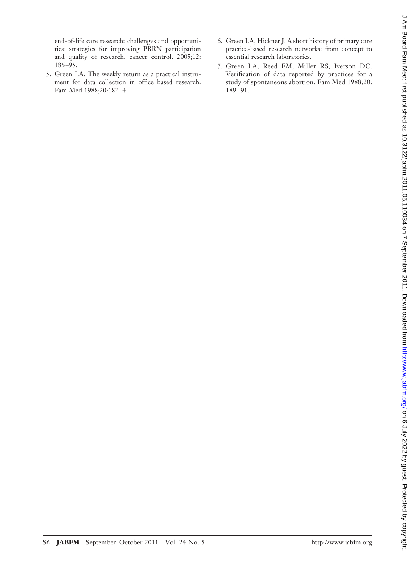end-of-life care research: challenges and opportunities: strategies for improving PBRN participation and quality of research. cancer control. 2005;12: 186 –95.

- 5. Green LA. The weekly return as a practical instrument for data collection in office based research. Fam Med 1988;20:182– 4.
- 6. Green LA, Hickner J. A short history of primary care practice-based research networks: from concept to essential research laboratories.
- 7. Green LA, Reed FM, Miller RS, Iverson DC. Verification of data reported by practices for a study of spontaneous abortion. Fam Med 1988;20: 189 –91.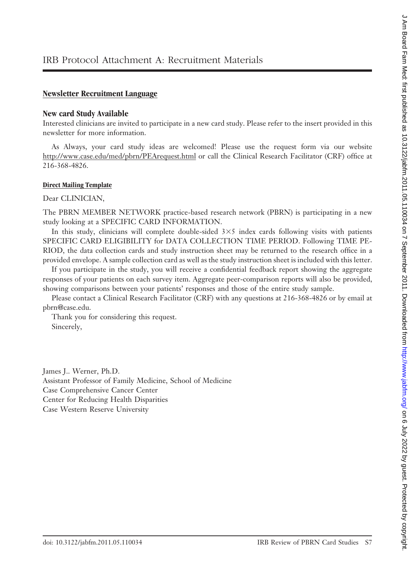## **Newsletter Recruitment Language**

## **New card Study Available**

Interested clinicians are invited to participate in a new card study. Please refer to the insert provided in this newsletter for more information.

As Always, your card study ideas are welcomed! Please use the request form via our website http://www.case.edu/med/pbrn/PEArequest.html or call the Clinical Research Facilitator (CRF) office at 216-368-4826.

## **Direct Mailing Template**

Dear CLINICIAN,

The PBRN MEMBER NETWORK practice-based research network (PBRN) is participating in a new study looking at a SPECIFIC CARD INFORMATION.

In this study, clinicians will complete double-sided  $3\times 5$  index cards following visits with patients SPECIFIC CARD ELIGIBILITY for DATA COLLECTION TIME PERIOD. Following TIME PE-RIOD, the data collection cards and study instruction sheet may be returned to the research office in a provided envelope. A sample collection card as well as the study instruction sheet is included with this letter.

If you participate in the study, you will receive a confidential feedback report showing the aggregate responses of your patients on each survey item. Aggregate peer-comparison reports will also be provided, showing comparisons between your patients' responses and those of the entire study sample.

Please contact a Clinical Research Facilitator (CRF) with any questions at 216-368-4826 or by email at pbrn@case.edu.

Thank you for considering this request. Sincerely,

James J.. Werner, Ph.D. Assistant Professor of Family Medicine, School of Medicine Case Comprehensive Cancer Center Center for Reducing Health Disparities Case Western Reserve University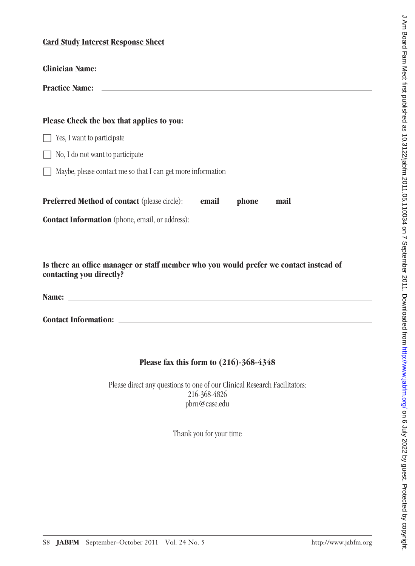# **Card Study Interest Response Sheet**

| Please Check the box that applies to you:                                                                         |
|-------------------------------------------------------------------------------------------------------------------|
| $\Box$ Yes, I want to participate                                                                                 |
| $\Box$ No, I do not want to participate                                                                           |
| $\Box$ Maybe, please contact me so that I can get more information                                                |
| <b>Preferred Method of contact</b> (please circle): email<br>phone<br>mail                                        |
| <b>Contact Information</b> (phone, email, or address):                                                            |
| Is there an office manager or staff member who you would prefer we contact instead of<br>contacting you directly? |
|                                                                                                                   |
|                                                                                                                   |

# **Please fax this form to (216)-368-4348**

Please direct any questions to one of our Clinical Research Facilitators: 216-368-4826 pbrn@case.edu

Thank you for your time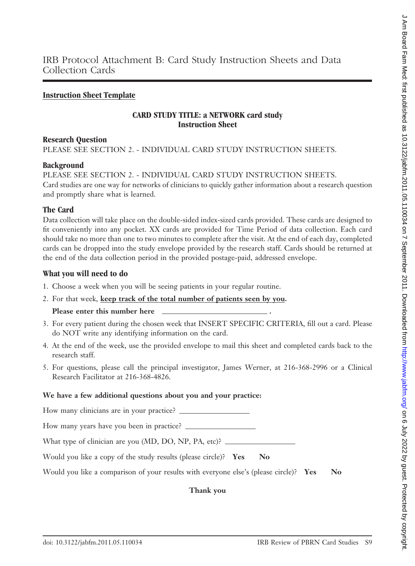# **Instruction Sheet Template**

# **CARD STUDY TITLE: a NETWORK card study Instruction Sheet**

# **Research Question**

PLEASE SEE SECTION 2. - INDIVIDUAL CARD STUDY INSTRUCTION SHEETS.

# **Background**

PLEASE SEE SECTION 2. - INDIVIDUAL CARD STUDY INSTRUCTION SHEETS. Card studies are one way for networks of clinicians to quickly gather information about a research question and promptly share what is learned.

# **The Card**

Data collection will take place on the double-sided index-sized cards provided. These cards are designed to fit conveniently into any pocket. XX cards are provided for Time Period of data collection. Each card should take no more than one to two minutes to complete after the visit. At the end of each day, completed cards can be dropped into the study envelope provided by the research staff. Cards should be returned at the end of the data collection period in the provided postage-paid, addressed envelope.

# **What you will need to do**

- 1. Choose a week when you will be seeing patients in your regular routine.
- 2. For that week, **keep track of the total number of patients seen by you.**

# **Please enter this number here .**

- 3. For every patient during the chosen week that INSERT SPECIFIC CRITERIA, fill out a card. Please do NOT write any identifying information on the card.
- 4. At the end of the week, use the provided envelope to mail this sheet and completed cards back to the research staff.
- 5. For questions, please call the principal investigator, James Werner, at 216-368-2996 or a Clinical Research Facilitator at 216-368-4826.

# **We have a few additional questions about you and your practice:**

How many clinicians are in your practice?  $\Box$ 

How many years have you been in practice?

What type of clinician are you (MD, DO, NP, PA, etc)?  $\Box$ 

Would you like a copy of the study results (please circle)? **Yes** No

Would you like a comparison of your results with everyone else's (please circle)? **Yes No**

# **Thank you**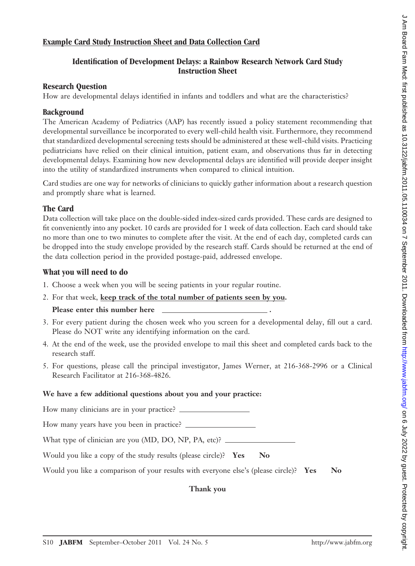# **Example Card Study Instruction Sheet and Data Collection Card**

# **Identification of Development Delays: a Rainbow Research Network Card Study Instruction Sheet**

## **Research Question**

How are developmental delays identified in infants and toddlers and what are the characteristics?

# **Background**

The American Academy of Pediatrics (AAP) has recently issued a policy statement recommending that developmental surveillance be incorporated to every well-child health visit. Furthermore, they recommend that standardized developmental screening tests should be administered at these well-child visits. Practicing pediatricians have relied on their clinical intuition, patient exam, and observations thus far in detecting developmental delays. Examining how new developmental delays are identified will provide deeper insight into the utility of standardized instruments when compared to clinical intuition.

Card studies are one way for networks of clinicians to quickly gather information about a research question and promptly share what is learned.

# **The Card**

Data collection will take place on the double-sided index-sized cards provided. These cards are designed to fit conveniently into any pocket. 10 cards are provided for 1 week of data collection. Each card should take no more than one to two minutes to complete after the visit. At the end of each day, completed cards can be dropped into the study envelope provided by the research staff. Cards should be returned at the end of the data collection period in the provided postage-paid, addressed envelope.

# **What you will need to do**

- 1. Choose a week when you will be seeing patients in your regular routine.
- 2. For that week, **keep track of the total number of patients seen by you.**

## **Please enter this number here .**

- 3. For every patient during the chosen week who you screen for a developmental delay, fill out a card. Please do NOT write any identifying information on the card.
- 4. At the end of the week, use the provided envelope to mail this sheet and completed cards back to the research staff.
- 5. For questions, please call the principal investigator, James Werner, at 216-368-2996 or a Clinical Research Facilitator at 216-368-4826.

# **We have a few additional questions about you and your practice:**

| How many clinicians are in your practice?                                             |                |
|---------------------------------------------------------------------------------------|----------------|
| How many years have you been in practice?                                             |                |
| What type of clinician are you (MD, DO, NP, PA, etc)?                                 |                |
| Would you like a copy of the study results (please circle)? Yes<br>N <sub>0</sub>     |                |
| Would you like a comparison of your results with everyone else's (please circle)? Yes | N <sub>0</sub> |

# **Thank you**